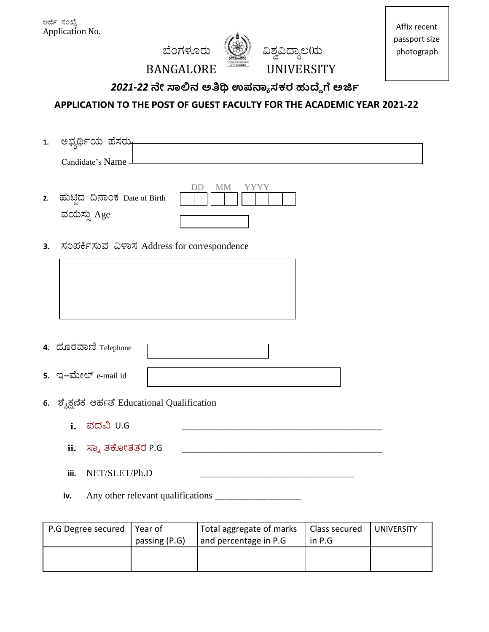ಅರ್ಜಿ ಸಂಖ್ಯೆ Application No.





Affix recent passport size photograph

**BANGALORE** 

## 2021-22 ನೇ ಸಾಲಿನ ಅತಿಥಿ ಉಪನ್ಯಾಸಕರ ಹುದ್ದೆಗೆ ಅರ್ಜಿ

APPLICATION TO THE POST OF GUEST FACULTY FOR THE ACADEMIC YEAR 2021-22

| 1. | ಅಭ್ಯರ್ಥಿಯ ಹೆಸರು-                             |
|----|----------------------------------------------|
|    | Candidate's Name _                           |
|    |                                              |
|    | DD<br><b>MM</b><br>YYYY                      |
| 2. | ಹುಟ್ಟಿದ ದಿನಾಂಕ Date of Birth                 |
|    | ವಯಸ್ಸು Age                                   |
|    |                                              |
| 3. | ಸಂಪರ್ಕಿಸುವ ವಿಳಾಸ Address for correspondence  |
|    |                                              |
|    |                                              |
|    |                                              |
|    |                                              |
|    |                                              |
|    | 4. ದೂರವಾಣಿ Telephone                         |
|    |                                              |
|    | 5. ಇ-ಮೇಲ್ e-mail id                          |
|    |                                              |
|    | 6. ಶೈಕ್ಷಣಿಕ ಅರ್ಹತೆ Educational Qualification |
|    | ಪದವಿ U.G<br>i.                               |
|    |                                              |
|    | ಸ್ನಾ ತಕೋತತರ P.G<br>ii.                       |
|    |                                              |

- iii. NET/SLET/Ph.D
- Any other relevant qualifications \_\_\_\_\_\_\_\_\_\_\_ iv.

| P.G Degree secured | l Year of<br>passing (P.G) | Total aggregate of marks<br>and percentage in P.G. | Class secured<br>in $P.G$ | <b>UNIVERSITY</b> |
|--------------------|----------------------------|----------------------------------------------------|---------------------------|-------------------|
|                    |                            |                                                    |                           |                   |